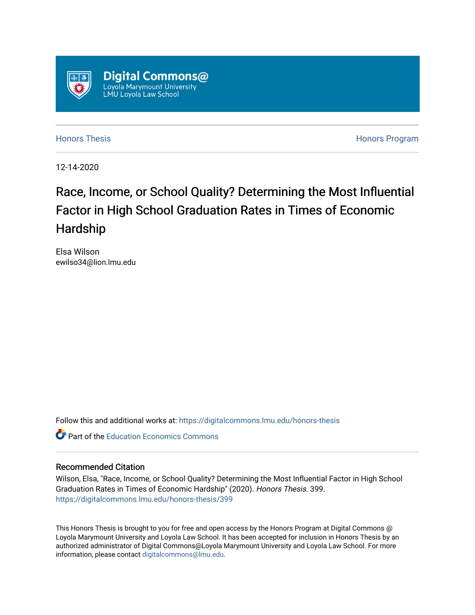

[Honors Thesis](https://digitalcommons.lmu.edu/honors-thesis) [Honors Program](https://digitalcommons.lmu.edu/lmu_honorsprogram) 

12-14-2020

# Race, Income, or School Quality? Determining the Most Influential Factor in High School Graduation Rates in Times of Economic Hardship

Elsa Wilson ewilso34@lion.lmu.edu

Follow this and additional works at: [https://digitalcommons.lmu.edu/honors-thesis](https://digitalcommons.lmu.edu/honors-thesis?utm_source=digitalcommons.lmu.edu%2Fhonors-thesis%2F399&utm_medium=PDF&utm_campaign=PDFCoverPages)

**C** Part of the Education Economics Commons

# Recommended Citation

Wilson, Elsa, "Race, Income, or School Quality? Determining the Most Influential Factor in High School Graduation Rates in Times of Economic Hardship" (2020). Honors Thesis. 399. [https://digitalcommons.lmu.edu/honors-thesis/399](https://digitalcommons.lmu.edu/honors-thesis/399?utm_source=digitalcommons.lmu.edu%2Fhonors-thesis%2F399&utm_medium=PDF&utm_campaign=PDFCoverPages) 

This Honors Thesis is brought to you for free and open access by the Honors Program at Digital Commons @ Loyola Marymount University and Loyola Law School. It has been accepted for inclusion in Honors Thesis by an authorized administrator of Digital Commons@Loyola Marymount University and Loyola Law School. For more information, please contact [digitalcommons@lmu.edu.](mailto:digitalcommons@lmu.edu)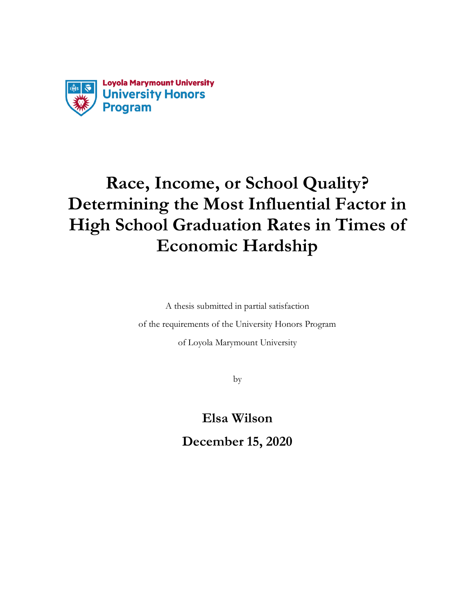

# **Race, Income, or School Quality? Determining the Most Influential Factor in High School Graduation Rates in Times of Economic Hardship**

A thesis submitted in partial satisfaction of the requirements of the University Honors Program of Loyola Marymount University

by

**Elsa Wilson December 15, 2020**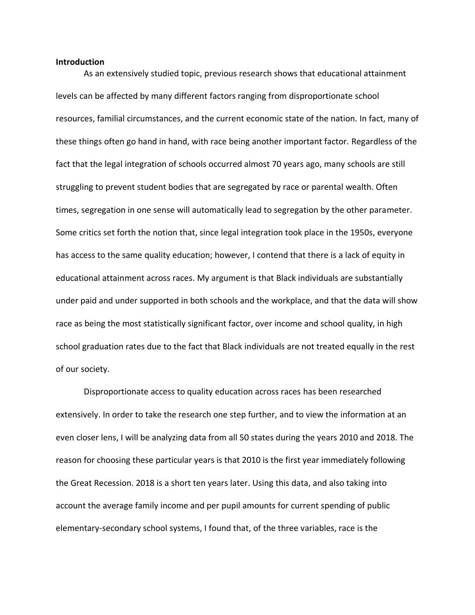#### **Introduction**

As an extensively studied topic, previous research shows that educational attainment levels can be affected by many different factors ranging from disproportionate school resources, familial circumstances, and the current economic state of the nation. In fact, many of these things often go hand in hand, with race being another important factor. Regardless of the fact that the legal integration of schools occurred almost 70 years ago, many schools are still struggling to prevent student bodies that are segregated by race or parental wealth. Often times, segregation in one sense will automatically lead to segregation by the other parameter. Some critics set forth the notion that, since legal integration took place in the 1950s, everyone has access to the same quality education; however, I contend that there is a lack of equity in educational attainment across races. My argument is that Black individuals are substantially under paid and under supported in both schools and the workplace, and that the data will show race as being the most statistically significant factor, over income and school quality, in high school graduation rates due to the fact that Black individuals are not treated equally in the rest of our society.

Disproportionate access to quality education across races has been researched extensively. In order to take the research one step further, and to view the information at an even closer lens, I will be analyzing data from all 50 states during the years 2010 and 2018. The reason for choosing these particular years is that 2010 is the first year immediately following the Great Recession. 2018 is a short ten years later. Using this data, and also taking into account the average family income and per pupil amounts for current spending of public elementary-secondary school systems, I found that, of the three variables, race is the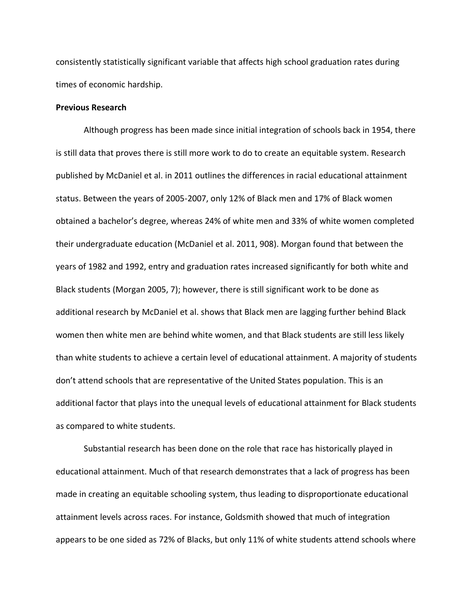consistently statistically significant variable that affects high school graduation rates during times of economic hardship.

### **Previous Research**

Although progress has been made since initial integration of schools back in 1954, there is still data that proves there is still more work to do to create an equitable system. Research published by McDaniel et al. in 2011 outlines the differences in racial educational attainment status. Between the years of 2005-2007, only 12% of Black men and 17% of Black women obtained a bachelor's degree, whereas 24% of white men and 33% of white women completed their undergraduate education (McDaniel et al. 2011, 908). Morgan found that between the years of 1982 and 1992, entry and graduation rates increased significantly for both white and Black students (Morgan 2005, 7); however, there is still significant work to be done as additional research by McDaniel et al. shows that Black men are lagging further behind Black women then white men are behind white women, and that Black students are still less likely than white students to achieve a certain level of educational attainment. A majority of students don't attend schools that are representative of the United States population. This is an additional factor that plays into the unequal levels of educational attainment for Black students as compared to white students.

Substantial research has been done on the role that race has historically played in educational attainment. Much of that research demonstrates that a lack of progress has been made in creating an equitable schooling system, thus leading to disproportionate educational attainment levels across races. For instance, Goldsmith showed that much of integration appears to be one sided as 72% of Blacks, but only 11% of white students attend schools where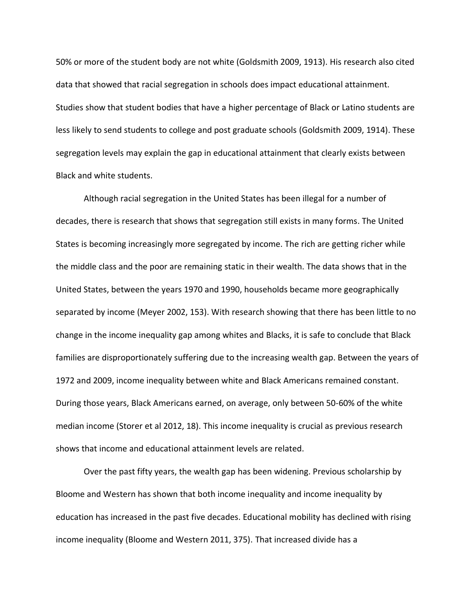50% or more of the student body are not white (Goldsmith 2009, 1913). His research also cited data that showed that racial segregation in schools does impact educational attainment. Studies show that student bodies that have a higher percentage of Black or Latino students are less likely to send students to college and post graduate schools (Goldsmith 2009, 1914). These segregation levels may explain the gap in educational attainment that clearly exists between Black and white students.

Although racial segregation in the United States has been illegal for a number of decades, there is research that shows that segregation still exists in many forms. The United States is becoming increasingly more segregated by income. The rich are getting richer while the middle class and the poor are remaining static in their wealth. The data shows that in the United States, between the years 1970 and 1990, households became more geographically separated by income (Meyer 2002, 153). With research showing that there has been little to no change in the income inequality gap among whites and Blacks, it is safe to conclude that Black families are disproportionately suffering due to the increasing wealth gap. Between the years of 1972 and 2009, income inequality between white and Black Americans remained constant. During those years, Black Americans earned, on average, only between 50-60% of the white median income (Storer et al 2012, 18). This income inequality is crucial as previous research shows that income and educational attainment levels are related.

Over the past fifty years, the wealth gap has been widening. Previous scholarship by Bloome and Western has shown that both income inequality and income inequality by education has increased in the past five decades. Educational mobility has declined with rising income inequality (Bloome and Western 2011, 375). That increased divide has a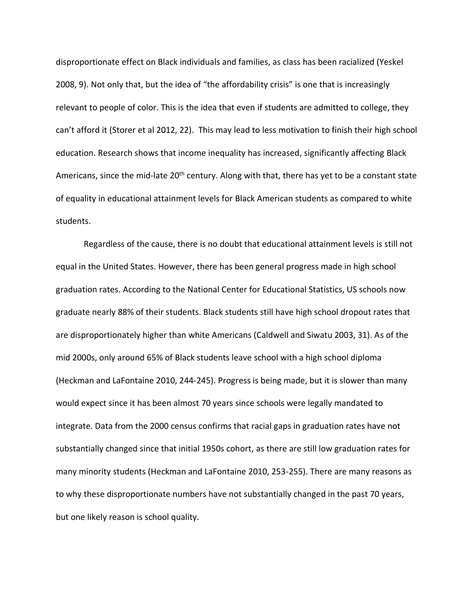disproportionate effect on Black individuals and families, as class has been racialized (Yeskel 2008, 9). Not only that, but the idea of "the affordability crisis" is one that is increasingly relevant to people of color. This is the idea that even if students are admitted to college, they can't afford it (Storer et al 2012, 22). This may lead to less motivation to finish their high school education. Research shows that income inequality has increased, significantly affecting Black Americans, since the mid-late 20<sup>th</sup> century. Along with that, there has yet to be a constant state of equality in educational attainment levels for Black American students as compared to white students.

Regardless of the cause, there is no doubt that educational attainment levels is still not equal in the United States. However, there has been general progress made in high school graduation rates. According to the National Center for Educational Statistics, US schools now graduate nearly 88% of their students. Black students still have high school dropout rates that are disproportionately higher than white Americans (Caldwell and Siwatu 2003, 31). As of the mid 2000s, only around 65% of Black students leave school with a high school diploma (Heckman and LaFontaine 2010, 244-245). Progress is being made, but it is slower than many would expect since it has been almost 70 years since schools were legally mandated to integrate. Data from the 2000 census confirms that racial gaps in graduation rates have not substantially changed since that initial 1950s cohort, as there are still low graduation rates for many minority students (Heckman and LaFontaine 2010, 253-255). There are many reasons as to why these disproportionate numbers have not substantially changed in the past 70 years, but one likely reason is school quality.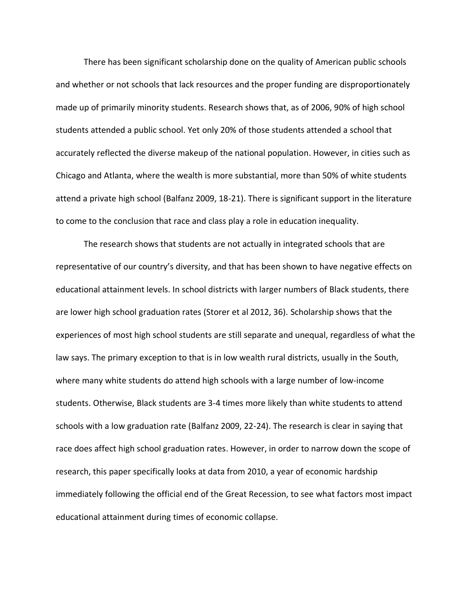There has been significant scholarship done on the quality of American public schools and whether or not schools that lack resources and the proper funding are disproportionately made up of primarily minority students. Research shows that, as of 2006, 90% of high school students attended a public school. Yet only 20% of those students attended a school that accurately reflected the diverse makeup of the national population. However, in cities such as Chicago and Atlanta, where the wealth is more substantial, more than 50% of white students attend a private high school (Balfanz 2009, 18-21). There is significant support in the literature to come to the conclusion that race and class play a role in education inequality.

The research shows that students are not actually in integrated schools that are representative of our country's diversity, and that has been shown to have negative effects on educational attainment levels. In school districts with larger numbers of Black students, there are lower high school graduation rates (Storer et al 2012, 36). Scholarship shows that the experiences of most high school students are still separate and unequal, regardless of what the law says. The primary exception to that is in low wealth rural districts, usually in the South, where many white students do attend high schools with a large number of low-income students. Otherwise, Black students are 3-4 times more likely than white students to attend schools with a low graduation rate (Balfanz 2009, 22-24). The research is clear in saying that race does affect high school graduation rates. However, in order to narrow down the scope of research, this paper specifically looks at data from 2010, a year of economic hardship immediately following the official end of the Great Recession, to see what factors most impact educational attainment during times of economic collapse.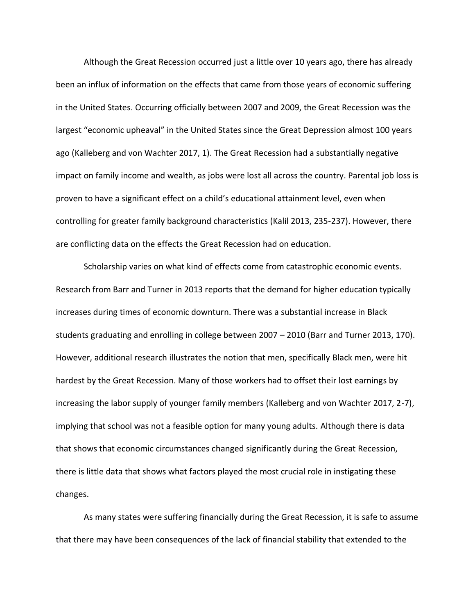Although the Great Recession occurred just a little over 10 years ago, there has already been an influx of information on the effects that came from those years of economic suffering in the United States. Occurring officially between 2007 and 2009, the Great Recession was the largest "economic upheaval" in the United States since the Great Depression almost 100 years ago (Kalleberg and von Wachter 2017, 1). The Great Recession had a substantially negative impact on family income and wealth, as jobs were lost all across the country. Parental job loss is proven to have a significant effect on a child's educational attainment level, even when controlling for greater family background characteristics (Kalil 2013, 235-237). However, there are conflicting data on the effects the Great Recession had on education.

Scholarship varies on what kind of effects come from catastrophic economic events. Research from Barr and Turner in 2013 reports that the demand for higher education typically increases during times of economic downturn. There was a substantial increase in Black students graduating and enrolling in college between 2007 – 2010 (Barr and Turner 2013, 170). However, additional research illustrates the notion that men, specifically Black men, were hit hardest by the Great Recession. Many of those workers had to offset their lost earnings by increasing the labor supply of younger family members (Kalleberg and von Wachter 2017, 2-7), implying that school was not a feasible option for many young adults. Although there is data that shows that economic circumstances changed significantly during the Great Recession, there is little data that shows what factors played the most crucial role in instigating these changes.

As many states were suffering financially during the Great Recession, it is safe to assume that there may have been consequences of the lack of financial stability that extended to the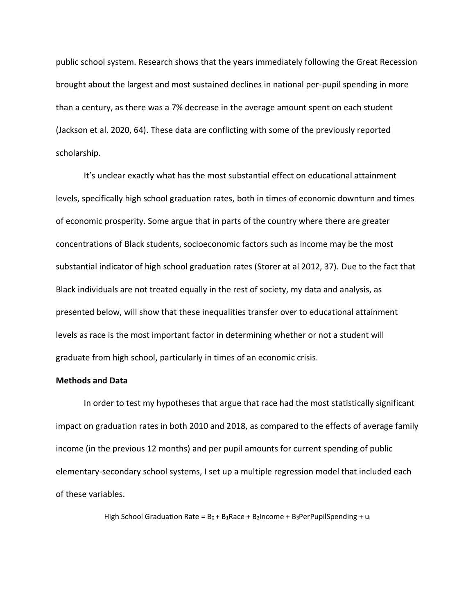public school system. Research shows that the years immediately following the Great Recession brought about the largest and most sustained declines in national per-pupil spending in more than a century, as there was a 7% decrease in the average amount spent on each student (Jackson et al. 2020, 64). These data are conflicting with some of the previously reported scholarship.

It's unclear exactly what has the most substantial effect on educational attainment levels, specifically high school graduation rates, both in times of economic downturn and times of economic prosperity. Some argue that in parts of the country where there are greater concentrations of Black students, socioeconomic factors such as income may be the most substantial indicator of high school graduation rates (Storer at al 2012, 37). Due to the fact that Black individuals are not treated equally in the rest of society, my data and analysis, as presented below, will show that these inequalities transfer over to educational attainment levels as race is the most important factor in determining whether or not a student will graduate from high school, particularly in times of an economic crisis.

## **Methods and Data**

In order to test my hypotheses that argue that race had the most statistically significant impact on graduation rates in both 2010 and 2018, as compared to the effects of average family income (in the previous 12 months) and per pupil amounts for current spending of public elementary-secondary school systems, I set up a multiple regression model that included each of these variables.

High School Graduation Rate =  $B_0 + B_1$ Race + B<sub>2</sub>Income + B<sub>3</sub>PerPupilSpending + u<sub>i</sub>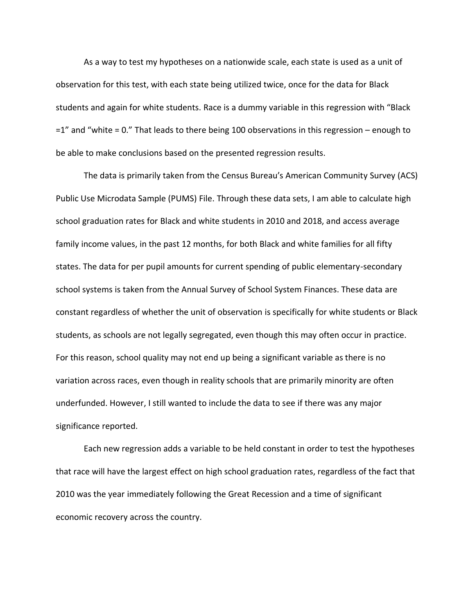As a way to test my hypotheses on a nationwide scale, each state is used as a unit of observation for this test, with each state being utilized twice, once for the data for Black students and again for white students. Race is a dummy variable in this regression with "Black =1" and "white = 0." That leads to there being 100 observations in this regression – enough to be able to make conclusions based on the presented regression results.

The data is primarily taken from the Census Bureau's American Community Survey (ACS) Public Use Microdata Sample (PUMS) File. Through these data sets, I am able to calculate high school graduation rates for Black and white students in 2010 and 2018, and access average family income values, in the past 12 months, for both Black and white families for all fifty states. The data for per pupil amounts for current spending of public elementary-secondary school systems is taken from the Annual Survey of School System Finances. These data are constant regardless of whether the unit of observation is specifically for white students or Black students, as schools are not legally segregated, even though this may often occur in practice. For this reason, school quality may not end up being a significant variable as there is no variation across races, even though in reality schools that are primarily minority are often underfunded. However, I still wanted to include the data to see if there was any major significance reported.

Each new regression adds a variable to be held constant in order to test the hypotheses that race will have the largest effect on high school graduation rates, regardless of the fact that 2010 was the year immediately following the Great Recession and a time of significant economic recovery across the country.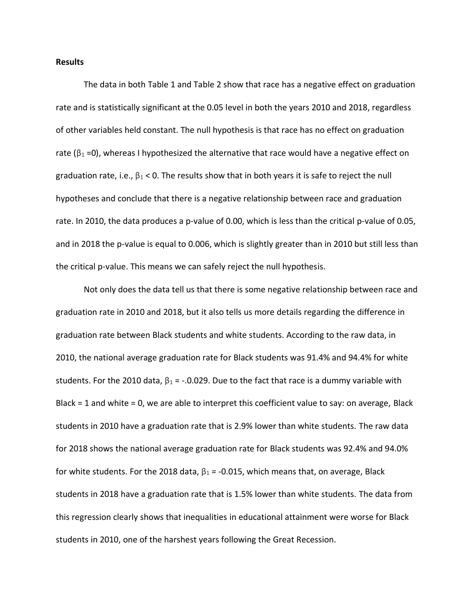#### **Results**

The data in both Table 1 and Table 2 show that race has a negative effect on graduation rate and is statistically significant at the 0.05 level in both the years 2010 and 2018, regardless of other variables held constant. The null hypothesis is that race has no effect on graduation rate ( $\beta_1$  =0), whereas I hypothesized the alternative that race would have a negative effect on graduation rate, i.e.,  $\beta_1 < 0$ . The results show that in both years it is safe to reject the null hypotheses and conclude that there is a negative relationship between race and graduation rate. In 2010, the data produces a p-value of 0.00, which is less than the critical p-value of 0.05, and in 2018 the p-value is equal to 0.006, which is slightly greater than in 2010 but still less than the critical p-value. This means we can safely reject the null hypothesis.

Not only does the data tell us that there is some negative relationship between race and graduation rate in 2010 and 2018, but it also tells us more details regarding the difference in graduation rate between Black students and white students. According to the raw data, in 2010, the national average graduation rate for Black students was 91.4% and 94.4% for white students. For the 2010 data,  $β_1 = -.0.029$ . Due to the fact that race is a dummy variable with Black = 1 and white = 0, we are able to interpret this coefficient value to say: on average, Black students in 2010 have a graduation rate that is 2.9% lower than white students. The raw data for 2018 shows the national average graduation rate for Black students was 92.4% and 94.0% for white students. For the 2018 data,  $\beta_1$  = -0.015, which means that, on average, Black students in 2018 have a graduation rate that is 1.5% lower than white students. The data from this regression clearly shows that inequalities in educational attainment were worse for Black students in 2010, one of the harshest years following the Great Recession.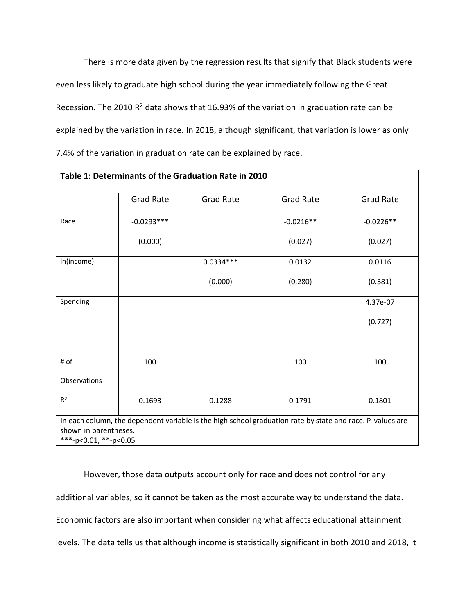There is more data given by the regression results that signify that Black students were even less likely to graduate high school during the year immediately following the Great Recession. The 2010  $R^2$  data shows that 16.93% of the variation in graduation rate can be explained by the variation in race. In 2018, although significant, that variation is lower as only 7.4% of the variation in graduation rate can be explained by race.

|                | <b>Grad Rate</b> | <b>Grad Rate</b> | <b>Grad Rate</b> | Grad Rate   |
|----------------|------------------|------------------|------------------|-------------|
| Race           | $-0.0293***$     |                  | $-0.0216**$      | $-0.0226**$ |
|                | (0.000)          |                  | (0.027)          | (0.027)     |
| In(income)     |                  | $0.0334***$      | 0.0132           | 0.0116      |
|                |                  | (0.000)          | (0.280)          | (0.381)     |
| Spending       |                  |                  |                  | 4.37e-07    |
|                |                  |                  |                  | (0.727)     |
| # of           | 100              |                  | 100              | 100         |
| Observations   |                  |                  |                  |             |
| R <sup>2</sup> | 0.1693           | 0.1288           | 0.1791           | 0.1801      |

However, those data outputs account only for race and does not control for any additional variables, so it cannot be taken as the most accurate way to understand the data. Economic factors are also important when considering what affects educational attainment levels. The data tells us that although income is statistically significant in both 2010 and 2018, it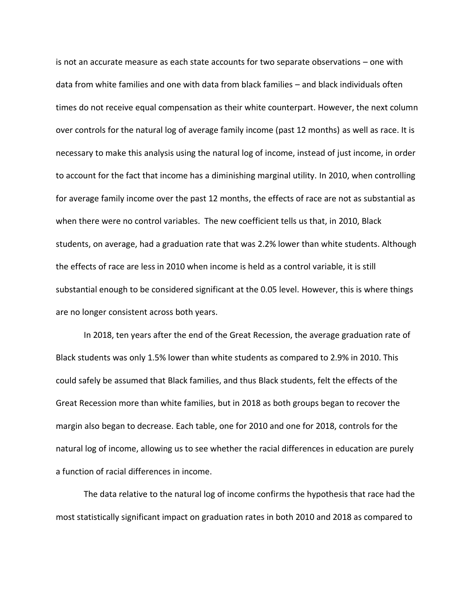is not an accurate measure as each state accounts for two separate observations – one with data from white families and one with data from black families – and black individuals often times do not receive equal compensation as their white counterpart. However, the next column over controls for the natural log of average family income (past 12 months) as well as race. It is necessary to make this analysis using the natural log of income, instead of just income, in order to account for the fact that income has a diminishing marginal utility. In 2010, when controlling for average family income over the past 12 months, the effects of race are not as substantial as when there were no control variables. The new coefficient tells us that, in 2010, Black students, on average, had a graduation rate that was 2.2% lower than white students. Although the effects of race are less in 2010 when income is held as a control variable, it is still substantial enough to be considered significant at the 0.05 level. However, this is where things are no longer consistent across both years.

In 2018, ten years after the end of the Great Recession, the average graduation rate of Black students was only 1.5% lower than white students as compared to 2.9% in 2010. This could safely be assumed that Black families, and thus Black students, felt the effects of the Great Recession more than white families, but in 2018 as both groups began to recover the margin also began to decrease. Each table, one for 2010 and one for 2018, controls for the natural log of income, allowing us to see whether the racial differences in education are purely a function of racial differences in income.

The data relative to the natural log of income confirms the hypothesis that race had the most statistically significant impact on graduation rates in both 2010 and 2018 as compared to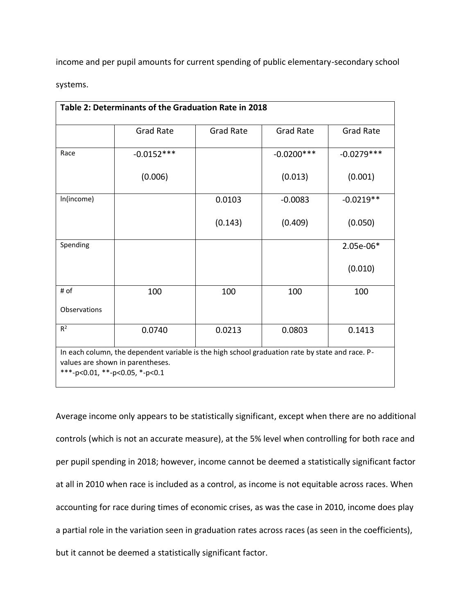income and per pupil amounts for current spending of public elementary-secondary school

systems.

| Table 2: Determinants of the Graduation Rate in 2018 |                                                                                                                                     |                  |                  |                  |  |  |  |
|------------------------------------------------------|-------------------------------------------------------------------------------------------------------------------------------------|------------------|------------------|------------------|--|--|--|
|                                                      | <b>Grad Rate</b>                                                                                                                    | <b>Grad Rate</b> | <b>Grad Rate</b> | <b>Grad Rate</b> |  |  |  |
| Race                                                 | $-0.0152***$                                                                                                                        |                  | $-0.0200***$     | $-0.0279***$     |  |  |  |
|                                                      | (0.006)                                                                                                                             |                  | (0.013)          | (0.001)          |  |  |  |
| In(income)                                           |                                                                                                                                     | 0.0103           | $-0.0083$        | $-0.0219**$      |  |  |  |
|                                                      |                                                                                                                                     | (0.143)          | (0.409)          | (0.050)          |  |  |  |
| Spending                                             |                                                                                                                                     |                  |                  | 2.05e-06*        |  |  |  |
|                                                      |                                                                                                                                     |                  |                  | (0.010)          |  |  |  |
| # of                                                 | 100                                                                                                                                 | 100              | 100              | 100              |  |  |  |
| Observations                                         |                                                                                                                                     |                  |                  |                  |  |  |  |
| R <sup>2</sup>                                       | 0.0740                                                                                                                              | 0.0213           | 0.0803           | 0.1413           |  |  |  |
| ***-p<0.01, **-p<0.05, *-p<0.1                       | In each column, the dependent variable is the high school graduation rate by state and race. P-<br>values are shown in parentheses. |                  |                  |                  |  |  |  |

Average income only appears to be statistically significant, except when there are no additional controls (which is not an accurate measure), at the 5% level when controlling for both race and per pupil spending in 2018; however, income cannot be deemed a statistically significant factor at all in 2010 when race is included as a control, as income is not equitable across races. When accounting for race during times of economic crises, as was the case in 2010, income does play a partial role in the variation seen in graduation rates across races (as seen in the coefficients), but it cannot be deemed a statistically significant factor.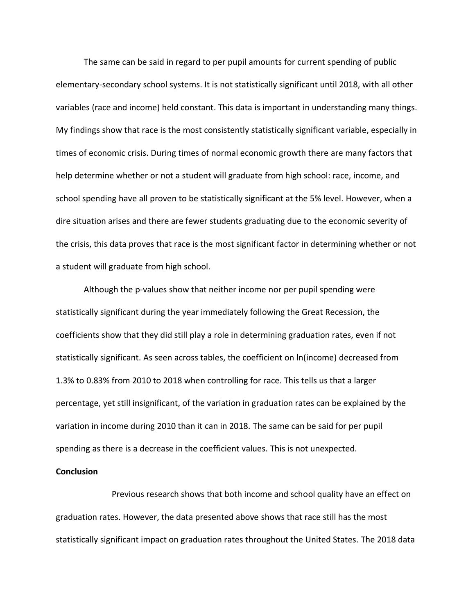The same can be said in regard to per pupil amounts for current spending of public elementary-secondary school systems. It is not statistically significant until 2018, with all other variables (race and income) held constant. This data is important in understanding many things. My findings show that race is the most consistently statistically significant variable, especially in times of economic crisis. During times of normal economic growth there are many factors that help determine whether or not a student will graduate from high school: race, income, and school spending have all proven to be statistically significant at the 5% level. However, when a dire situation arises and there are fewer students graduating due to the economic severity of the crisis, this data proves that race is the most significant factor in determining whether or not a student will graduate from high school.

Although the p-values show that neither income nor per pupil spending were statistically significant during the year immediately following the Great Recession, the coefficients show that they did still play a role in determining graduation rates, even if not statistically significant. As seen across tables, the coefficient on ln(income) decreased from 1.3% to 0.83% from 2010 to 2018 when controlling for race. This tells us that a larger percentage, yet still insignificant, of the variation in graduation rates can be explained by the variation in income during 2010 than it can in 2018. The same can be said for per pupil spending as there is a decrease in the coefficient values. This is not unexpected.

### **Conclusion**

Previous research shows that both income and school quality have an effect on graduation rates. However, the data presented above shows that race still has the most statistically significant impact on graduation rates throughout the United States. The 2018 data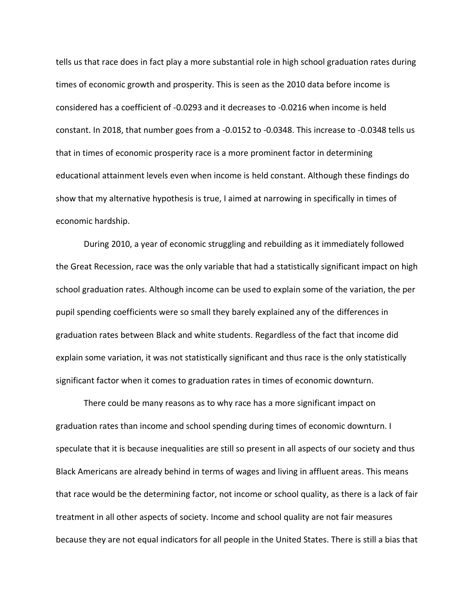tells us that race does in fact play a more substantial role in high school graduation rates during times of economic growth and prosperity. This is seen as the 2010 data before income is considered has a coefficient of -0.0293 and it decreases to -0.0216 when income is held constant. In 2018, that number goes from a -0.0152 to -0.0348. This increase to -0.0348 tells us that in times of economic prosperity race is a more prominent factor in determining educational attainment levels even when income is held constant. Although these findings do show that my alternative hypothesis is true, I aimed at narrowing in specifically in times of economic hardship.

During 2010, a year of economic struggling and rebuilding as it immediately followed the Great Recession, race was the only variable that had a statistically significant impact on high school graduation rates. Although income can be used to explain some of the variation, the per pupil spending coefficients were so small they barely explained any of the differences in graduation rates between Black and white students. Regardless of the fact that income did explain some variation, it was not statistically significant and thus race is the only statistically significant factor when it comes to graduation rates in times of economic downturn.

There could be many reasons as to why race has a more significant impact on graduation rates than income and school spending during times of economic downturn. I speculate that it is because inequalities are still so present in all aspects of our society and thus Black Americans are already behind in terms of wages and living in affluent areas. This means that race would be the determining factor, not income or school quality, as there is a lack of fair treatment in all other aspects of society. Income and school quality are not fair measures because they are not equal indicators for all people in the United States. There is still a bias that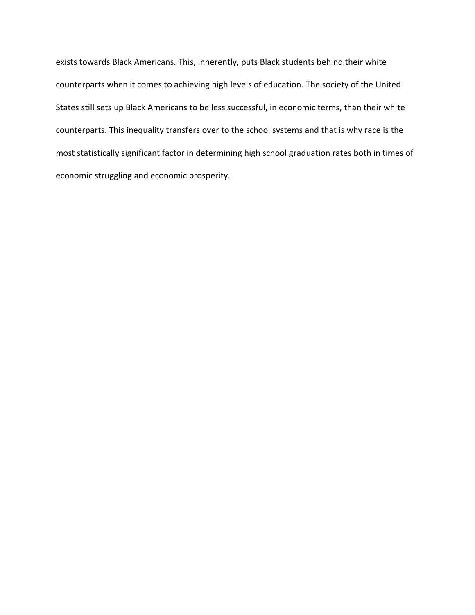exists towards Black Americans. This, inherently, puts Black students behind their white counterparts when it comes to achieving high levels of education. The society of the United States still sets up Black Americans to be less successful, in economic terms, than their white counterparts. This inequality transfers over to the school systems and that is why race is the most statistically significant factor in determining high school graduation rates both in times of economic struggling and economic prosperity.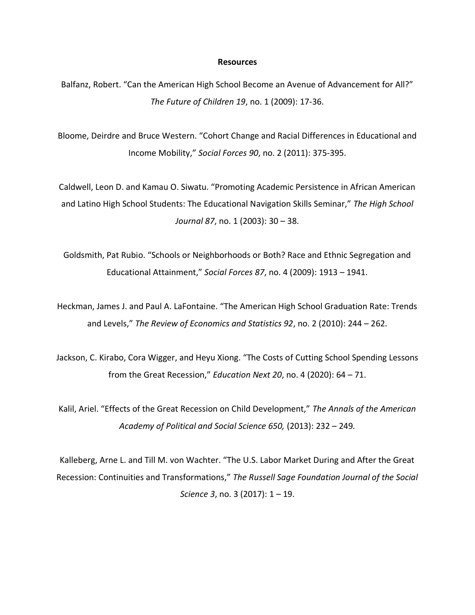#### **Resources**

Balfanz, Robert. "Can the American High School Become an Avenue of Advancement for All?" *The Future of Children 19*, no. 1 (2009): 17-36.

Bloome, Deirdre and Bruce Western. "Cohort Change and Racial Differences in Educational and Income Mobility," *Social Forces 90*, no. 2 (2011): 375-395.

Caldwell, Leon D. and Kamau O. Siwatu. "Promoting Academic Persistence in African American and Latino High School Students: The Educational Navigation Skills Seminar," *The High School Journal 87*, no. 1 (2003): 30 – 38.

Goldsmith, Pat Rubio. "Schools or Neighborhoods or Both? Race and Ethnic Segregation and Educational Attainment," *Social Forces 87*, no. 4 (2009): 1913 – 1941.

Heckman, James J. and Paul A. LaFontaine. "The American High School Graduation Rate: Trends and Levels," *The Review of Economics and Statistics 92*, no. 2 (2010): 244 – 262.

Jackson, C. Kirabo, Cora Wigger, and Heyu Xiong. "The Costs of Cutting School Spending Lessons from the Great Recession," *Education Next 20*, no. 4 (2020): 64 – 71.

Kalil, Ariel. "Effects of the Great Recession on Child Development," *The Annals of the American Academy of Political and Social Science 650,* (2013): 232 – 249*.* 

Kalleberg, Arne L. and Till M. von Wachter. "The U.S. Labor Market During and After the Great Recession: Continuities and Transformations," *The Russell Sage Foundation Journal of the Social Science 3*, no. 3 (2017): 1 – 19.